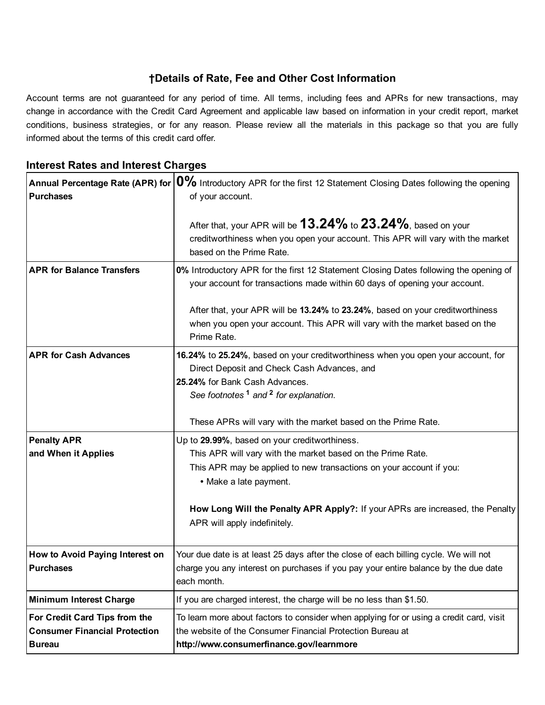# †Details of Rate, Fee and Other Cost Information

Account terms are not guaranteed for any period of time. All terms, including fees and APRs for new transactions, may change in accordance with the Credit Card Agreement and applicable law based on information in your credit report, market conditions, business strategies, or for any reason. Please review all the materials in this package so that you are fully informed about the terms of this credit card offer.

# Annual Percentage Rate (APR) for  $|0\%$  Introductory APR for the first 12 Statement Closing Dates following the opening **Purchases** of your account. After that, your APR will be  $13.24\%$  to  $23.24\%$ , based on your creditworthiness when you open your account. This APR will vary with the market based on the Prime Rate. APR for Balance Transfers **0%** Introductory APR for the first 12 Statement Closing Dates following the opening of your account for transactions made within 60 days of opening your account. After that, your APR will be 13.24% to 23.24%, based on your creditworthiness when you open your account. This APR will vary with the market based on the Prime Rate. APR for Cash Advances 16.24% to 25.24%, based on your creditworthiness when you open your account, for Direct Deposit and Check Cash Advances, and 25.24% for Bank Cash Advances. See footnotes<sup>[1](#page-1-0)</sup> and<sup>[2](#page-1-1)</sup> for explanation. These APRs will vary with the market based on the Prime Rate. Penalty APR and When it Applies Up to 29.99%, based on your creditworthiness. This APR will vary with the market based on the Prime Rate. This APR may be applied to new transactions on your account if you: • Make a late payment. How Long Will the Penalty APR Apply?: If your APRs are increased, the Penalty APR will apply indefinitely. How to Avoid Paying Interest on Purchases Your due date is at least 25 days after the close of each billing cycle. We will not charge you any interest on purchases if you pay your entire balance by the due date

## Interest Rates and Interest Charges

| i Purcnases                          | Frange you any interest on purchases if you pay your entire balance by the que date<br>each month. |
|--------------------------------------|----------------------------------------------------------------------------------------------------|
| Minimum Interest Charge              | If you are charged interest, the charge will be no less than \$1.50.                               |
| <b>For Credit Card Tips from the</b> | To learn more about factors to consider when applying for or using a credit card, visit            |
| <b>Consumer Financial Protection</b> | the website of the Consumer Financial Protection Bureau at                                         |
| <b>Bureau</b>                        | http://www.consumerfinance.gov/learnmore                                                           |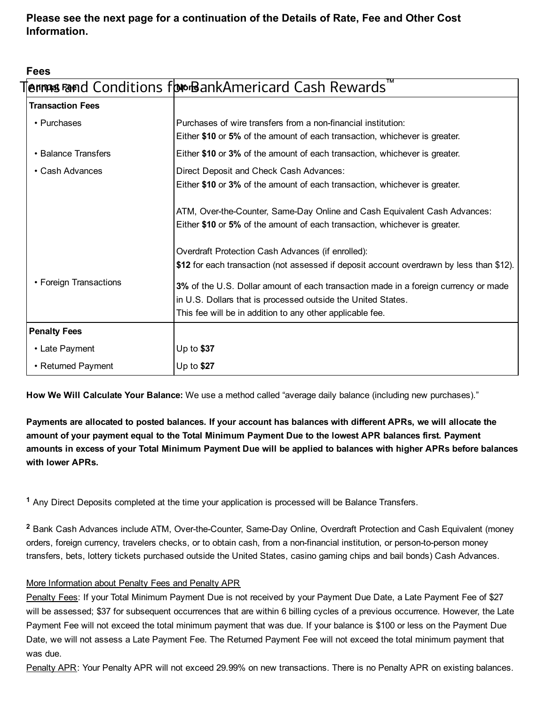Please see the next page for a continuation of the Details of Rate, Fee and Other Cost Information.

Fees

| TM<br><b>ennes rand Conditions for BankAmericard Cash Rewards</b> |                                                                                                                                                                                                                                                                                                                                                                   |
|-------------------------------------------------------------------|-------------------------------------------------------------------------------------------------------------------------------------------------------------------------------------------------------------------------------------------------------------------------------------------------------------------------------------------------------------------|
| <b>Transaction Fees</b>                                           |                                                                                                                                                                                                                                                                                                                                                                   |
| • Purchases                                                       | Purchases of wire transfers from a non-financial institution:<br>Either \$10 or 5% of the amount of each transaction, whichever is greater.                                                                                                                                                                                                                       |
| • Balance Transfers                                               | Either \$10 or 3% of the amount of each transaction, whichever is greater.                                                                                                                                                                                                                                                                                        |
| • Cash Advances                                                   | Direct Deposit and Check Cash Advances:<br>Either \$10 or 3% of the amount of each transaction, whichever is greater.                                                                                                                                                                                                                                             |
|                                                                   | ATM, Over-the-Counter, Same-Day Online and Cash Equivalent Cash Advances:<br>Either \$10 or 5% of the amount of each transaction, whichever is greater.                                                                                                                                                                                                           |
| • Foreign Transactions                                            | Overdraft Protection Cash Advances (if enrolled):<br>\$12 for each transaction (not assessed if deposit account overdrawn by less than \$12).<br>3% of the U.S. Dollar amount of each transaction made in a foreign currency or made<br>in U.S. Dollars that is processed outside the United States.<br>This fee will be in addition to any other applicable fee. |
| <b>Penalty Fees</b>                                               |                                                                                                                                                                                                                                                                                                                                                                   |
| • Late Payment                                                    | Up to \$37                                                                                                                                                                                                                                                                                                                                                        |
| • Returned Payment                                                | Up to \$27                                                                                                                                                                                                                                                                                                                                                        |

How We Will Calculate Your Balance: We use a method called "average daily balance (including new purchases)."

Payments are allocated to posted balances. If your account has balances with different APRs, we will allocate the amount of your payment equal to the Total Minimum Payment Due to the lowest APR balances first. Payment amounts in excess of your Total Minimum Payment Due will be applied to balances with higher APRs before balances with lower APRs.

<span id="page-1-0"></span><sup>1</sup> Any Direct Deposits completed at the time your application is processed will be Balance Transfers.

<span id="page-1-1"></span><sup>2</sup> Bank Cash Advances include ATM, Over-the-Counter, Same-Day Online, Overdraft Protection and Cash Equivalent (money orders, foreign currency, travelers checks, or to obtain cash, from a non-financial institution, or person-to-person money transfers, bets, lottery tickets purchased outside the United States, casino gaming chips and bail bonds) Cash Advances.

### More Information about Penalty Fees and Penalty APR

Penalty Fees: If your Total Minimum Payment Due is not received by your Payment Due Date, a Late Payment Fee of \$27 will be assessed; \$37 for subsequent occurrences that are within 6 billing cycles of a previous occurrence. However, the Late Payment Fee will not exceed the total minimum payment that was due. If your balance is \$100 or less on the Payment Due Date, we will not assess a Late Payment Fee. The Returned Payment Fee will not exceed the total minimum payment that was due.

Penalty APR: Your Penalty APR will not exceed 29.99% on new transactions. There is no Penalty APR on existing balances.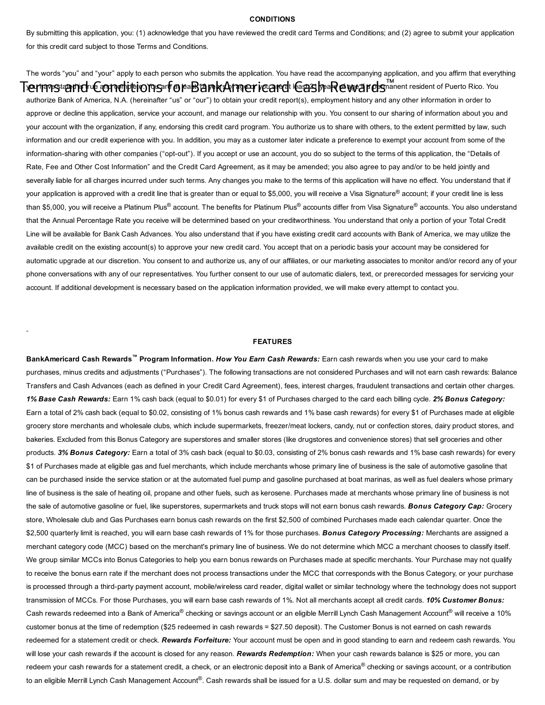#### **CONDITIONS**

By submitting this application, you: (1) acknowledge that you have reviewed the credit card Terms and Conditions; and (2) agree to submit your application for this credit card subject to those Terms and Conditions.

The words "you" and "your" apply to each person who submits the application. You have read the accompanying application, and you affirm that everything Term prestating we complite to mear for ear and complete in the angle of a permanent resident of Puerto Rico. You authorize Bank of America, N.A. (hereinafter "us" or "our") to obtain your credit report(s), employment history and any other information in order to approve or decline this application, service your account, and manage our relationship with you. You consent to our sharing of information about you and your account with the organization, if any, endorsing this credit card program. You authorize us to share with others, to the extent permitted by law, such information and our credit experience with you. In addition, you may as a customer later indicate a preference to exempt your account from some of the information-sharing with other companies ("opt-out"). If you accept or use an account, you do so subject to the terms of this application, the "Details of Rate, Fee and Other Cost Information" and the Credit Card Agreement, as it may be amended; you also agree to pay and/or to be held jointly and severally liable for all charges incurred under such terms. Any changes you make to the terms of this application will have no effect. You understand that if your application is approved with a credit line that is greater than or equal to \$5,000, you will receive a Visa Signature® account; if your credit line is less than \$5,000, you will receive a Platinum Plus® account. The benefits for Platinum Plus® accounts differ from Visa Signature® accounts. You also understand that the Annual Percentage Rate you receive will be determined based on your creditworthiness. You understand that only a portion of your Total Credit Line will be available for Bank Cash Advances. You also understand that if you have existing credit card accounts with Bank of America, we may utilize the available credit on the existing account(s) to approve your new credit card. You accept that on a periodic basis your account may be considered for automatic upgrade at our discretion. You consent to and authorize us, any of our affiliates, or our marketing associates to monitor and/or record any of your phone conversations with any of our representatives. You further consent to our use of automatic dialers, text, or prerecorded messages for servicing your account. If additional development is necessary based on the application information provided, we will make every attempt to contact you.

### FEATURES

BankAmericard Cash Rewards<sup>™</sup> Program Information. How You Earn Cash Rewards: Earn cash rewards when you use your card to make purchases, minus credits and adjustments ("Purchases"). The following transactions are not considered Purchases and will not earn cash rewards: Balance Transfers and Cash Advances (each as defined in your Credit Card Agreement), fees, interest charges, fraudulent transactions and certain other charges. *1% Base Cash Rewards:* Earn 1% cash back (equal to \$0.01) for every \$1 of Purchases charged to the card each billing cycle. *2% Bonus Category:* Earn a total of 2% cash back (equal to \$0.02, consisting of 1% bonus cash rewards and 1% base cash rewards) for every \$1 of Purchases made at eligible grocery store merchants and wholesale clubs, which include supermarkets, freezer/meat lockers, candy, nut or confection stores, dairy product stores, and bakeries. Excluded from this Bonus Category are superstores and smaller stores (like drugstores and convenience stores) that sell groceries and other products. *3% Bonus Category:* Earn a total of 3% cash back (equal to \$0.03, consisting of 2% bonus cash rewards and 1% base cash rewards) for every \$1 of Purchases made at eligible gas and fuel merchants, which include merchants whose primary line of business is the sale of automotive gasoline that can be purchased inside the service station or at the automated fuel pump and gasoline purchased at boat marinas, as well as fuel dealers whose primary line of business is the sale of heating oil, propane and other fuels, such as kerosene. Purchases made at merchants whose primary line of business is not the sale of automotive gasoline or fuel, like superstores, supermarkets and truck stops will not earn bonus cash rewards. *Bonus Category Cap:* Grocery store, Wholesale club and Gas Purchases earn bonus cash rewards on the first \$2,500 of combined Purchases made each calendar quarter. Once the \$2,500 quarterly limit is reached, you will earn base cash rewards of 1% for those purchases. *Bonus Category Processing:* Merchants are assigned a merchant category code (MCC) based on the merchant's primary line of business. We do not determine which MCC a merchant chooses to classify itself. We group similar MCCs into Bonus Categories to help you earn bonus rewards on Purchases made at specific merchants. Your Purchase may not qualify to receive the bonus earn rate if the merchant does not process transactions under the MCC that corresponds with the Bonus Category, or your purchase is processed through a third-party payment account, mobile/wireless card reader, digital wallet or similar technology where the technology does not support transmission of MCCs. For those Purchases, you will earn base cash rewards of 1%. Not all merchants accept all credit cards. *10% Customer Bonus:* Cash rewards redeemed into a Bank of America® checking or savings account or an eligible Merrill Lynch Cash Management Account® will receive a 10% customer bonus at the time of redemption (\$25 redeemed in cash rewards = \$27.50 deposit). The Customer Bonus is not earned on cash rewards redeemed for a statement credit or check. *Rewards Forfeiture:* Your account must be open and in good standing to earn and redeem cash rewards. You will lose your cash rewards if the account is closed for any reason. *Rewards Redemption:* When your cash rewards balance is \$25 or more, you can redeem your cash rewards for a statement credit, a check, or an electronic deposit into a Bank of America<sup>®</sup> checking or savings account, or a contribution to an eligible Merrill Lynch Cash Management Account®. Cash rewards shall be issued for a U.S. dollar sum and may be requested on demand, or by